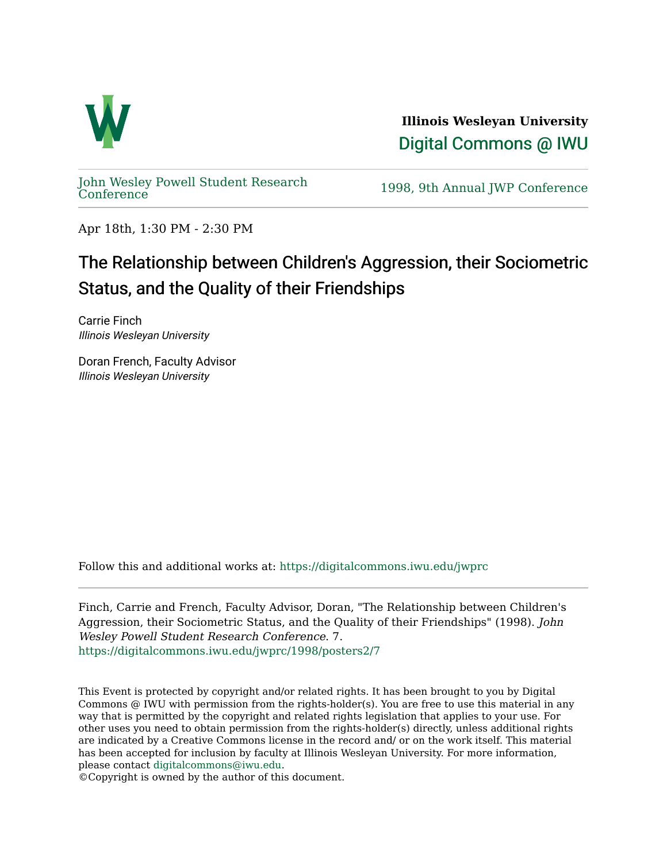

**Illinois Wesleyan University**  [Digital Commons @ IWU](https://digitalcommons.iwu.edu/) 

[John Wesley Powell Student Research](https://digitalcommons.iwu.edu/jwprc) 

1998, 9th Annual JWP [Conference](https://digitalcommons.iwu.edu/jwprc)

Apr 18th, 1:30 PM - 2:30 PM

## The Relationship between Children's Aggression, their Sociometric Status, and the Quality of their Friendships

Carrie Finch Illinois Wesleyan University

Doran French, Faculty Advisor Illinois Wesleyan University

Follow this and additional works at: [https://digitalcommons.iwu.edu/jwprc](https://digitalcommons.iwu.edu/jwprc?utm_source=digitalcommons.iwu.edu%2Fjwprc%2F1998%2Fposters2%2F7&utm_medium=PDF&utm_campaign=PDFCoverPages) 

Finch, Carrie and French, Faculty Advisor, Doran, "The Relationship between Children's Aggression, their Sociometric Status, and the Quality of their Friendships" (1998). John Wesley Powell Student Research Conference. 7. [https://digitalcommons.iwu.edu/jwprc/1998/posters2/7](https://digitalcommons.iwu.edu/jwprc/1998/posters2/7?utm_source=digitalcommons.iwu.edu%2Fjwprc%2F1998%2Fposters2%2F7&utm_medium=PDF&utm_campaign=PDFCoverPages)

This Event is protected by copyright and/or related rights. It has been brought to you by Digital Commons @ IWU with permission from the rights-holder(s). You are free to use this material in any way that is permitted by the copyright and related rights legislation that applies to your use. For other uses you need to obtain permission from the rights-holder(s) directly, unless additional rights are indicated by a Creative Commons license in the record and/ or on the work itself. This material has been accepted for inclusion by faculty at Illinois Wesleyan University. For more information, please contact [digitalcommons@iwu.edu.](mailto:digitalcommons@iwu.edu)

©Copyright is owned by the author of this document.